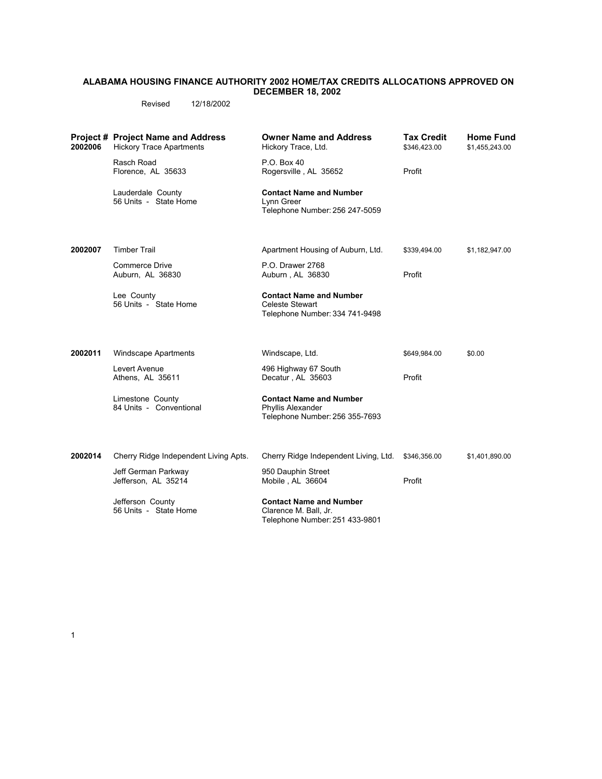## **ALABAMA HOUSING FINANCE AUTHORITY 2002 HOME/TAX CREDITS ALLOCATIONS APPROVED ON DECEMBER 18, 2002**

Revised 12/18/2002

| 2002006 | <b>Project # Project Name and Address</b><br><b>Hickory Trace Apartments</b> | <b>Owner Name and Address</b><br>Hickory Trace, Ltd.                                       | <b>Tax Credit</b><br>\$346,423.00 | <b>Home Fund</b><br>\$1,455,243.00 |
|---------|------------------------------------------------------------------------------|--------------------------------------------------------------------------------------------|-----------------------------------|------------------------------------|
|         | Rasch Road<br>Florence, AL 35633                                             | P.O. Box 40<br>Rogersville, AL 35652                                                       | Profit                            |                                    |
|         | Lauderdale County<br>56 Units - State Home                                   | <b>Contact Name and Number</b><br>Lynn Greer<br>Telephone Number: 256 247-5059             |                                   |                                    |
| 2002007 | <b>Timber Trail</b>                                                          | Apartment Housing of Auburn, Ltd.                                                          | \$339,494.00                      | \$1,182,947.00                     |
|         | <b>Commerce Drive</b><br>Auburn, AL 36830                                    | P.O. Drawer 2768<br>Auburn, AL 36830                                                       | Profit                            |                                    |
|         | Lee County<br>56 Units - State Home                                          | <b>Contact Name and Number</b><br><b>Celeste Stewart</b><br>Telephone Number: 334 741-9498 |                                   |                                    |
| 2002011 | <b>Windscape Apartments</b>                                                  | Windscape, Ltd.                                                                            | \$649,984.00                      | \$0.00                             |
|         | Levert Avenue<br>Athens, AL 35611                                            | 496 Highway 67 South<br>Decatur, AL 35603                                                  | Profit                            |                                    |
|         | Limestone County<br>84 Units - Conventional                                  | <b>Contact Name and Number</b><br>Phyllis Alexander<br>Telephone Number: 256 355-7693      |                                   |                                    |
| 2002014 | Cherry Ridge Independent Living Apts.                                        | Cherry Ridge Independent Living, Ltd.                                                      | \$346,356.00                      | \$1,401,890.00                     |
|         | Jeff German Parkway<br>Jefferson, AL 35214                                   | 950 Dauphin Street<br>Mobile, AL 36604                                                     | Profit                            |                                    |
|         | Jefferson County<br>56 Units - State Home                                    | <b>Contact Name and Number</b><br>Clarence M. Ball, Jr.<br>Telephone Number: 251 433-9801  |                                   |                                    |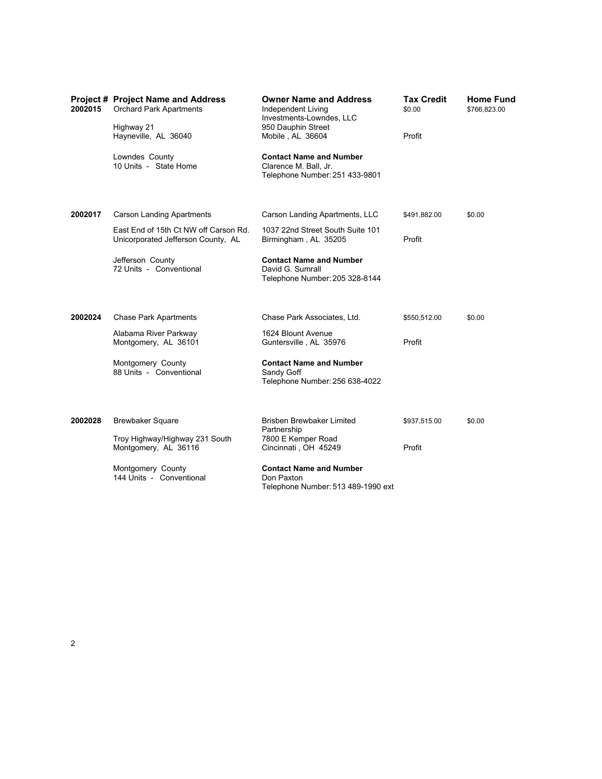| 2002015 | <b>Project # Project Name and Address</b><br><b>Orchard Park Apartments</b><br>Highway 21<br>Hayneville, AL 36040 | <b>Owner Name and Address</b><br>Independent Living<br>Investments-Lowndes, LLC<br>950 Dauphin Street<br>Mobile, AL 36604 | <b>Tax Credit</b><br>\$0.00<br>Profit | <b>Home Fund</b><br>\$766,823.00 |
|---------|-------------------------------------------------------------------------------------------------------------------|---------------------------------------------------------------------------------------------------------------------------|---------------------------------------|----------------------------------|
|         | Lowndes County<br>10 Units - State Home                                                                           | <b>Contact Name and Number</b><br>Clarence M. Ball, Jr.<br>Telephone Number: 251 433-9801                                 |                                       |                                  |
| 2002017 | <b>Carson Landing Apartments</b>                                                                                  | Carson Landing Apartments, LLC                                                                                            | \$491,882.00                          | \$0.00                           |
|         | East End of 15th Ct NW off Carson Rd.<br>Unicorporated Jefferson County, AL                                       | 1037 22nd Street South Suite 101<br>Birmingham, AL 35205                                                                  | Profit                                |                                  |
|         | Jefferson County<br>72 Units - Conventional                                                                       | <b>Contact Name and Number</b><br>David G. Sumrall<br>Telephone Number: 205 328-8144                                      |                                       |                                  |
| 2002024 | <b>Chase Park Apartments</b>                                                                                      | Chase Park Associates, Ltd.                                                                                               | \$550,512.00                          | \$0.00                           |
|         | Alabama River Parkway<br>Montgomery, AL 36101                                                                     | 1624 Blount Avenue<br>Guntersville, AL 35976                                                                              | Profit                                |                                  |
|         | Montgomery County<br>88 Units - Conventional                                                                      | <b>Contact Name and Number</b><br>Sandy Goff<br>Telephone Number: 256 638-4022                                            |                                       |                                  |
| 2002028 | <b>Brewbaker Square</b>                                                                                           | Brisben Brewbaker Limited                                                                                                 | \$937,515.00                          | \$0.00                           |
|         | Troy Highway/Highway 231 South<br>Montgomery, AL 36116                                                            | Partnership<br>7800 E Kemper Road<br>Cincinnati, OH 45249                                                                 | Profit                                |                                  |
|         | Montgomery County<br>144 Units - Conventional                                                                     | <b>Contact Name and Number</b><br>Don Paxton<br>Telephone Number: 513 489-1990 ext                                        |                                       |                                  |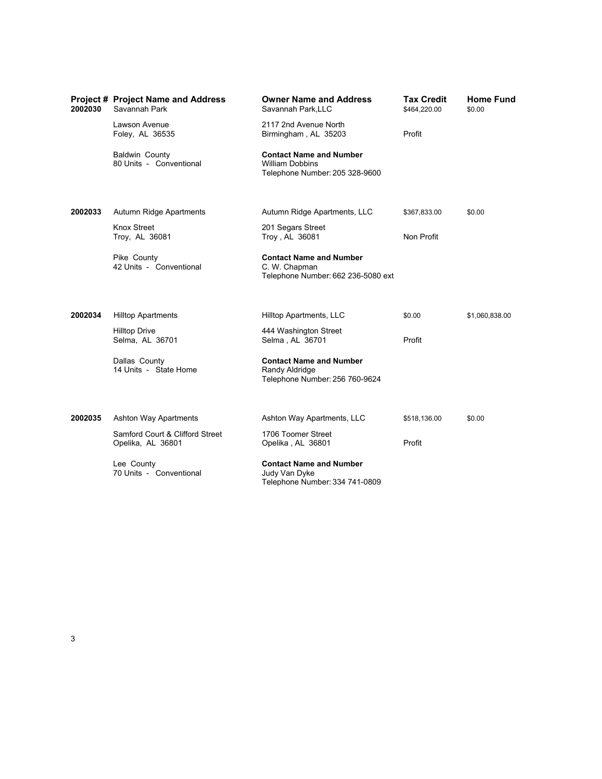| 2002030 | <b>Project # Project Name and Address</b><br>Savannah Park | <b>Owner Name and Address</b><br>Savannah Park, LLC                                        | <b>Tax Credit</b><br>\$464,220.00 | <b>Home Fund</b><br>\$0.00 |
|---------|------------------------------------------------------------|--------------------------------------------------------------------------------------------|-----------------------------------|----------------------------|
|         | Lawson Avenue<br>Foley, AL 36535                           | 2117 2nd Avenue North<br>Birmingham, AL 35203                                              | Profit                            |                            |
|         | Baldwin County<br>80 Units - Conventional                  | <b>Contact Name and Number</b><br><b>William Dobbins</b><br>Telephone Number: 205 328-9600 |                                   |                            |
| 2002033 | Autumn Ridge Apartments                                    | Autumn Ridge Apartments, LLC                                                               | \$367,833.00                      | \$0.00                     |
|         | <b>Knox Street</b><br>Troy, AL 36081                       | 201 Segars Street<br>Troy, AL 36081                                                        | Non Profit                        |                            |
|         | Pike County<br>42 Units - Conventional                     | <b>Contact Name and Number</b><br>C. W. Chapman<br>Telephone Number: 662 236-5080 ext      |                                   |                            |
| 2002034 | <b>Hilltop Apartments</b>                                  | Hilltop Apartments, LLC                                                                    | \$0.00                            | \$1,060,838.00             |
|         | <b>Hilltop Drive</b><br>Selma, AL 36701                    | 444 Washington Street<br>Selma, AL 36701                                                   | Profit                            |                            |
|         | Dallas County<br>14 Units - State Home                     | <b>Contact Name and Number</b><br>Randy Aldridge<br>Telephone Number: 256 760-9624         |                                   |                            |
| 2002035 | <b>Ashton Way Apartments</b>                               | Ashton Way Apartments, LLC                                                                 | \$518,136.00                      | \$0.00                     |
|         | Samford Court & Clifford Street<br>Opelika, AL 36801       | 1706 Toomer Street<br>Opelika, AL 36801                                                    | Profit                            |                            |
|         | Lee County<br>70 Units - Conventional                      | <b>Contact Name and Number</b><br>Judy Van Dyke<br>Telephone Number: 334 741-0809          |                                   |                            |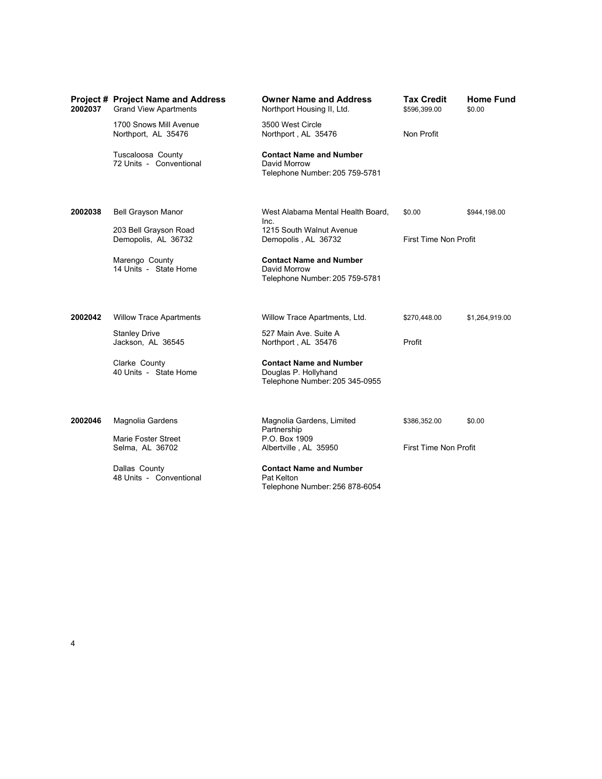| 2002037 | <b>Project # Project Name and Address</b><br><b>Grand View Apartments</b> | <b>Owner Name and Address</b><br>Northport Housing II, Ltd.                              | <b>Tax Credit</b><br>\$596,399.00 | <b>Home Fund</b><br>\$0.00 |
|---------|---------------------------------------------------------------------------|------------------------------------------------------------------------------------------|-----------------------------------|----------------------------|
|         | 1700 Snows Mill Avenue<br>Northport, AL 35476                             | 3500 West Circle<br>Northport, AL 35476                                                  | Non Profit                        |                            |
|         | Tuscaloosa County<br>72 Units - Conventional                              | <b>Contact Name and Number</b><br>David Morrow<br>Telephone Number: 205 759-5781         |                                   |                            |
| 2002038 | <b>Bell Grayson Manor</b>                                                 | West Alabama Mental Health Board,<br>Inc.                                                | \$0.00                            | \$944,198.00               |
|         | 203 Bell Grayson Road<br>Demopolis, AL 36732                              | 1215 South Walnut Avenue<br>Demopolis, AL 36732                                          | First Time Non Profit             |                            |
|         | Marengo County<br>14 Units - State Home                                   | <b>Contact Name and Number</b><br>David Morrow<br>Telephone Number: 205 759-5781         |                                   |                            |
| 2002042 | <b>Willow Trace Apartments</b>                                            | Willow Trace Apartments, Ltd.                                                            | \$270,448.00                      | \$1,264,919.00             |
|         | <b>Stanley Drive</b><br>Jackson, AL 36545                                 | 527 Main Ave. Suite A<br>Northport, AL 35476                                             | Profit                            |                            |
|         | Clarke County<br>40 Units - State Home                                    | <b>Contact Name and Number</b><br>Douglas P. Hollyhand<br>Telephone Number: 205 345-0955 |                                   |                            |
| 2002046 | Magnolia Gardens                                                          | Magnolia Gardens, Limited<br>Partnership                                                 | \$386,352.00                      | \$0.00                     |
|         | Marie Foster Street<br>Selma, AL 36702                                    | P.O. Box 1909<br>Albertville, AL 35950                                                   | First Time Non Profit             |                            |
|         | Dallas County<br>48 Units - Conventional                                  | <b>Contact Name and Number</b><br>Pat Kelton<br>Telephone Number: 256 878-6054           |                                   |                            |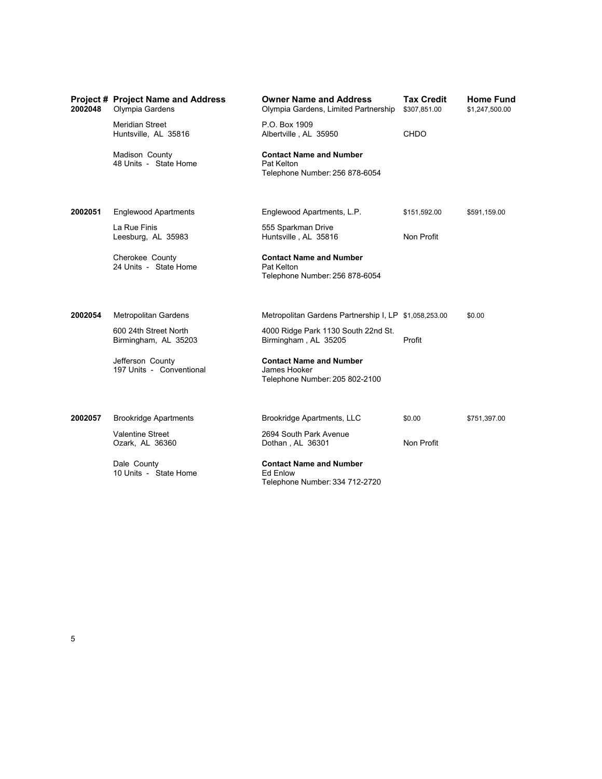| 2002048 | <b>Project # Project Name and Address</b><br>Olympia Gardens | <b>Owner Name and Address</b><br>Olympia Gardens, Limited Partnership               | <b>Tax Credit</b><br>\$307,851.00 | <b>Home Fund</b><br>\$1,247,500.00 |
|---------|--------------------------------------------------------------|-------------------------------------------------------------------------------------|-----------------------------------|------------------------------------|
|         | Meridian Street<br>Huntsville, AL 35816                      | P.O. Box 1909<br>Albertville, AL 35950                                              | <b>CHDO</b>                       |                                    |
|         | Madison County<br>48 Units - State Home                      | <b>Contact Name and Number</b><br>Pat Kelton<br>Telephone Number: 256 878-6054      |                                   |                                    |
| 2002051 | <b>Englewood Apartments</b>                                  | Englewood Apartments, L.P.                                                          | \$151,592.00                      | \$591,159.00                       |
|         | La Rue Finis<br>Leesburg, AL 35983                           | 555 Sparkman Drive<br>Huntsville, AL 35816                                          | Non Profit                        |                                    |
|         | Cherokee County<br>24 Units - State Home                     | <b>Contact Name and Number</b><br>Pat Kelton<br>Telephone Number: 256 878-6054      |                                   |                                    |
| 2002054 | <b>Metropolitan Gardens</b>                                  | Metropolitan Gardens Partnership I, LP \$1,058,253.00                               |                                   | \$0.00                             |
|         | 600 24th Street North<br>Birmingham, AL 35203                | 4000 Ridge Park 1130 South 22nd St.<br>Birmingham, AL 35205                         | Profit                            |                                    |
|         | Jefferson County<br>197 Units - Conventional                 | <b>Contact Name and Number</b><br>James Hooker<br>Telephone Number: 205 802-2100    |                                   |                                    |
| 2002057 | <b>Brookridge Apartments</b>                                 | Brookridge Apartments, LLC                                                          | \$0.00                            | \$751,397.00                       |
|         | <b>Valentine Street</b><br>Ozark, AL 36360                   | 2694 South Park Avenue<br>Dothan, AL 36301                                          | Non Profit                        |                                    |
|         | Dale County<br>10 Units - State Home                         | <b>Contact Name and Number</b><br><b>Ed Enlow</b><br>Telephone Number: 334 712-2720 |                                   |                                    |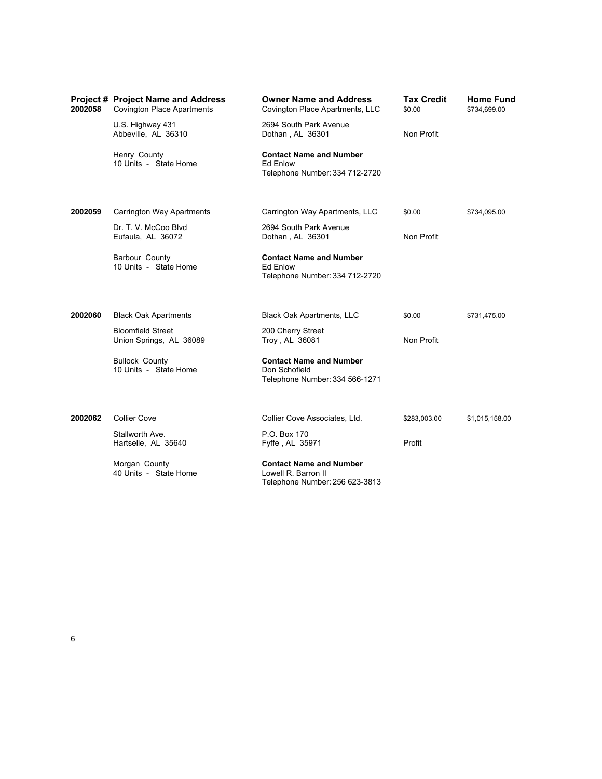| 2002058 | <b>Project # Project Name and Address</b><br><b>Covington Place Apartments</b> | <b>Owner Name and Address</b><br>Covington Place Apartments, LLC                        | <b>Tax Credit</b><br>\$0.00 | <b>Home Fund</b><br>\$734,699.00 |
|---------|--------------------------------------------------------------------------------|-----------------------------------------------------------------------------------------|-----------------------------|----------------------------------|
|         | U.S. Highway 431<br>Abbeville, AL 36310                                        | 2694 South Park Avenue<br>Dothan, AL 36301                                              | Non Profit                  |                                  |
|         | Henry County<br>10 Units - State Home                                          | <b>Contact Name and Number</b><br>Ed Enlow<br>Telephone Number: 334 712-2720            |                             |                                  |
| 2002059 | Carrington Way Apartments                                                      | Carrington Way Apartments, LLC                                                          | \$0.00                      | \$734,095.00                     |
|         | Dr. T. V. McCoo Blvd<br>Eufaula, AL 36072                                      | 2694 South Park Avenue<br>Dothan, AL 36301                                              | Non Profit                  |                                  |
|         | Barbour County<br>10 Units - State Home                                        | <b>Contact Name and Number</b><br>Ed Enlow<br>Telephone Number: 334 712-2720            |                             |                                  |
| 2002060 | <b>Black Oak Apartments</b>                                                    | <b>Black Oak Apartments, LLC</b>                                                        | \$0.00                      | \$731,475.00                     |
|         | <b>Bloomfield Street</b><br>Union Springs, AL 36089                            | 200 Cherry Street<br>Troy, AL 36081                                                     | Non Profit                  |                                  |
|         | <b>Bullock County</b><br>10 Units - State Home                                 | <b>Contact Name and Number</b><br>Don Schofield<br>Telephone Number: 334 566-1271       |                             |                                  |
| 2002062 | <b>Collier Cove</b>                                                            | Collier Cove Associates, Ltd.                                                           | \$283,003.00                | \$1,015,158.00                   |
|         | Stallworth Ave.<br>Hartselle, AL 35640                                         | P.O. Box 170<br>Fyffe, AL 35971                                                         | Profit                      |                                  |
|         | Morgan County<br>40 Units - State Home                                         | <b>Contact Name and Number</b><br>Lowell R. Barron II<br>Telephone Number: 256 623-3813 |                             |                                  |